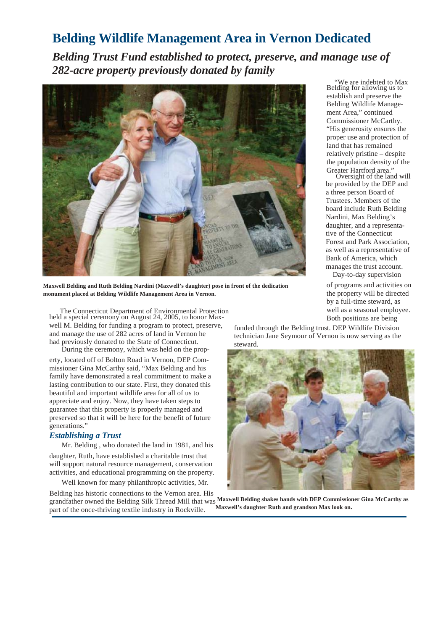## **Belding Wildlife Management Area in Vernon Dedicated**

*Belding Trust Fund established to protect, preserve, and manage use of 282-acre property previously donated by family*



**Maxwell Belding and Ruth Belding Nardini (Maxwell's daughter) pose in front of the dedication monument placed at Belding Wildlife Management Area in Vernon.**

The Connecticut Department of Environmental Protection held a special ceremony on August 24, 2005, to honor Maxwell M. Belding for funding a program to protect, preserve, and manage the use of 282 acres of land in Vernon he had previously donated to the State of Connecticut. During the ceremony, which was held on the prop-

erty, located off of Bolton Road in Vernon, DEP Commissioner Gina McCarthy said, "Max Belding and his family have demonstrated a real commitment to make a lasting contribution to our state. First, they donated this beautiful and important wildlife area for all of us to appreciate and enjoy. Now, they have taken steps to guarantee that this property is properly managed and preserved so that it will be here for the benefit of future generations."

## *Establishing a Trust*

Mr. Belding , who donated the land in 1981, and his

daughter, Ruth, have established a charitable trust that will support natural resource management, conservation activities, and educational programming on the property.

Well known for many philanthropic activities, Mr.

 "We are indebted to Max Belding for allowing us to establish and preserve the Belding Wildlife Management Area," continued Commissioner McCarthy. "His generosity ensures the proper use and protection of land that has remained relatively pristine – despite the population density of the Greater Hartford area."

Oversight of the land will be provided by the DEP and a three person Board of Trustees. Members of the board include Ruth Belding Nardini, Max Belding's daughter, and a representative of the Connecticut Forest and Park Association, as well as a representative of Bank of America, which manages the trust account.

Day-to-day supervision of programs and activities on the property will be directed by a full-time steward, as well as a seasonal employee. Both positions are being

funded through the Belding trust. DEP Wildlife Division technician Jane Seymour of Vernon is now serving as the steward.



Belding has historic connections to the Vernon area. His grandfather owned the Belding Silk Thread Mill that was  **Maxwell Belding shakes hands with DEP Commissioner Gina McCarthy as**  part of the once-thriving textile industry in Rockville. **Maxwell's daughter Ruth and grandson Max look on.**